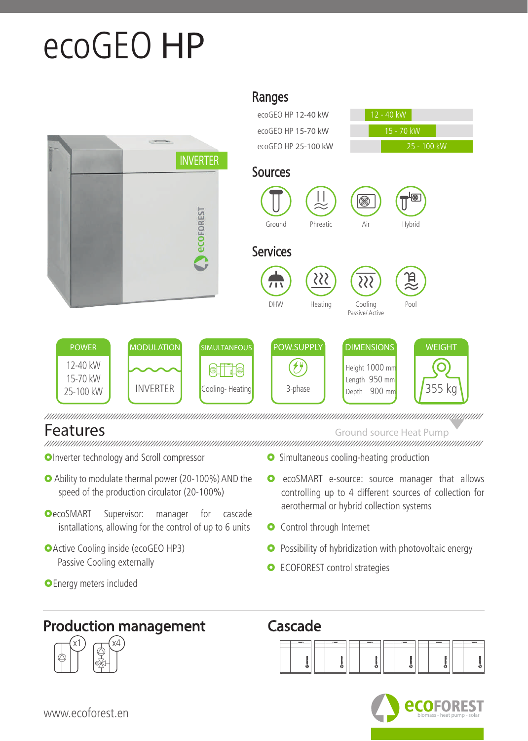## ecoGEO **HP**



Ranges

## Features Ground source Heat Pump

- **OInverter technology and Scroll compressor**
- Ability to modulate thermal power (20-100%) AND the speed of the production circulator (20-100%)
- **OecoSMART** Supervisor: manager for cascade isntallations, allowing for the control of up to 6 units
- Active Cooling inside (ecoGEO HP3) Passive Cooling externally
- **O** Energy meters included
- **O** Simultaneous cooling-heating production
- **O** ecoSMART e-source: source manager that allows controlling up to 4 different sources of collection for aerothermal or hybrid collection systems
- **O** Control through Internet
- **O** Possibility of hybridization with photovoltaic energy
- **O** ECOFOREST control strategies
- Production management Cascade